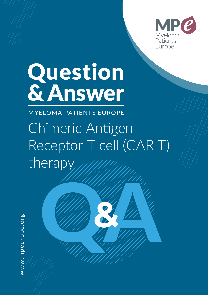

# Question & Answer

MYELOMA PATIENTS EUROPE Chimeric Antigen Receptor T cell (CAR-T) therapy

**&**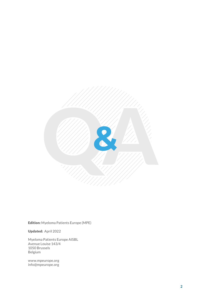

Edition: Myeloma Patients Europe (MPE)

Updated: April 2022

Myeloma Patients Europe AISBL Avenue Louise 143/4 1050 Brussels Belgium

www.mpeurope.org info@mpeurope.org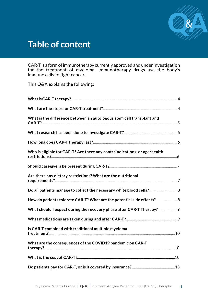

# **Table of content**

CAR-T is a form of immunotherapy currently approved and under investigation for the treatment of myeloma. Immunotherapy drugs use the body's immune cells to fight cancer.

This Q&A explains the following:

| What is the difference between an autologous stem cell transplant and     |
|---------------------------------------------------------------------------|
|                                                                           |
|                                                                           |
| Who is eligible for CAR-T? Are there any contraindications, or age/health |
|                                                                           |
| Are there any dietary restrictions? What are the nutritional              |
| Do all patients manage to collect the necessary white blood cells?        |
| How do patients tolerate CAR-T? What are the potential side effects? 8    |
| What should I expect during the recovery phase after CAR-T Therapy?       |
|                                                                           |
| Is CAR-T combined with traditional multiple myeloma                       |
| What are the consequences of the COVID19 pandemic on CAR-T                |
|                                                                           |
|                                                                           |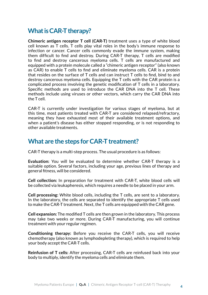## **What is CAR-T therapy?**

**Chimeric antigen receptor T cell (CAR-T)** treatment uses a type of white blood cell known as T cells. T cells play vital roles in the body's immune response to infection or cancer. Cancer cells commonly evade the immune system, making them difficult to find and destroy. During CAR-T therapy, T cells are modified to find and destroy cancerous myeloma cells. T cells are manufactured and equipped with a protein molecule called a "chimeric antigen receptor" (also known as CAR) to enable T cells to find and eliminate myeloma cells. CAR is a protein that resides on the surface of T cells and can instruct T cells to find, bind to and destroy cancerous myeloma cells. Equipping the T cells with the CAR protein is a complicated process involving the genetic modification of T cells in a laboratory. Specific methods are used to introduce the CAR DNA into the T cell. These methods include using viruses or other vectors, which carry the CAR DNA into the T cell.

CAR-T is currently under investigation for various stages of myeloma, but at this time, most patients treated with CAR-T are considered relapsed/refractory, meaning they have exhausted most of their available treatment options, and when a patient's disease has either stopped responding, or is not responding to other available treatments.

#### **What are the steps for CAR-T treatment?**

CAR-T therapy is a multi-step process. The usual procedure is as follows:

**Evaluation:** You will be evaluated to determine whether CAR-T therapy is a suitable option. Several factors, including your age, previous lines of therapy and general fitness, will be considered.

**Cell collection:** In preparation for treatment with CAR-T, white blood cells will be collected via leukapheresis, which requires a needle to be placed in your arm.

**Cell processing:** White blood cells, including the T cells, are sent to a laboratory. In the laboratory, the cells are separated to identify the appropriate T cells used to make the CAR-T treatment. Next, the T cells are equipped with the CAR gene.

**Cell expansion:** The modified T cells are then grown in the laboratory. This process may take two weeks or more. During CAR-T manufacturing, you will continue treatment with your regular regimen.

**Conditioning therapy:** Before you receive the CAR-T cells, you will receive chemotherapy (also known as lymphodepleting therapy), which is required to help your body accept the CAR-T cells.

**Reinfusion of T cells:** After processing, CAR-T cells are reinfused back into your body to multiply, identify the myeloma cells and eliminate them.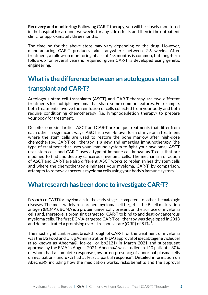**Recovery and monitoring:** Following CAR-T therapy, you will be closely monitored in the hospital for around two weeks for any side effects and then in the outpatient clinic for approximately three months.

The timeline for the above steps may vary depending on the drug. However, manufacturing CAR-T products takes anywhere between 2-6 weeks. After treatment, a follow-up monitoring phase of 1-3 months is common, but long-term follow-up for several years is required, given CAR-T is developed using genetic engineering.

# **What is the difference between an autologous stem cell transplant and CAR-T?**

Autologous stem cell transplants (ASCT) and CAR-T therapy are two different treatments for multiple myeloma that share some common features. For example, both treatments involve the reinfusion of cells collected from your body and both require conditioning chemotherapy (i.e. lymphodepletion therapy) to prepare your body for treatment.

Despite some similarities, ASCT and CAR-T are unique treatments that differ from each other in significant ways. ASCT is a well-known form of myeloma treatment where the stem cells are used to restore the bone marrow after high-dose chemotherapy. CAR-T cell therapy is a new and emerging immunotherapy (the type of treatment that uses your immune system to fight your myeloma). ASCT uses stem cells and CAR-T uses a type of immune cell known as T cells that are modified to find and destroy cancerous myeloma cells. The mechanism of action of ASCT and CAR-T are also different. ASCT works to replenish healthy stem cells and where the chemotherapy eliminates your myeloma. CAR-T, by comparison, attempts to remove cancerous myeloma cells using your body's immune system.

#### **What research has been done to investigate CAR-T?**

Research on CAR-T for myeloma is in the early stages compared to other hematologic diseases. The most widely researched myeloma cell target is the B cell maturation antigen (BCMA). BCMA is a protein universally present on the surface of myeloma cells and, therefore, a promising target for CAR-T to bind to and destroy cancerous myeloma cells. The first BCMA-targeted CAR-T cell therapy was developed in 2013 and demonstrated a promising overall response rate (ORR) of 81%  $^{1}$ .

The most significant recent breakthrough of CAR-T for the treatment of myeloma was the US Food and Drug Administration (FDA) approval of idecabtagene vicleucel (also known as Abecma©, ide-cel, or bb2121) in March 2021 and subsequent approval by the EMA in August 2021. Abecma© was studied in 140 patients, 30% of whom had a complete response (low or no presence of abnormal plasma cells on evaluation), and 67% had at least a partial response<sup>2</sup>. Detailed information on Abecma©, including how the medication works, risks/benefits and the approval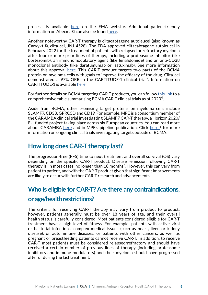process, is available [here](https://www.ema.europa.eu/en/medicines/human/EPAR/abecma) on the EMA website. Additional patient-friendly information on Abecma© can also be found [here](https://www.abecma.com/).

Another noteworthy CAR-T therapy is ciltacabtagene autoleucel (also known as Carvykti©, cilta-cel, JNJ-4528). The FDA approved ciltacabtagene autoleucel in February 2022 for the treatment of patients with relapsed or refractory myeloma after four or more prior lines of therapy, including a proteasome inhibitor (like bortezomib), an immunomodulatory agent (like lenalidomide) and an anti-CD38 monoclonal antibody (like daratumumab or isatuximab). See more information about this approval [here](https://www.mpeurope.org/2022/03/02/fda-approves-cilta-cel-for-relapsed-or-refractory-myeloma/). This CAR-T product targets two parts of the BCMA protein on myeloma cells with goals to improve the efficacy of the drug. Cilta-cel demonstrated a 97% ORR in the CARTITUDE-1 clinical trial<sup>3</sup>. Information on CARTITUDE-1 is available [here.](https://clinicaltrials.gov/ct2/show/NCT03548207)

For further details on BCMA targeting CAR-T products, you can follo[w this link](https://www.nature.com/articles/s41408-021-00469-5/tables/2) to a comprehensive table summarising BCMA CAR-T clinical trials as of 20204.

Aside from BCMA, other promising target proteins on myeloma cells include SLAMF7, CD38, GPRC5D and CD19. For example, MPE is a consortium member of the CARAMBA clinical trial investigating SLAMF7 CAR-T therapy, a Horizon 2020/ EU-funded project taking place across six European countries. You can read more about CARAMBA [here](https://www.nature.com/articles/s41408-021-00469-5/tables/3) and in MPE's pipeline publication. Click here <sup>5</sup> for more information on ongoing clinical trials investigating targets outside of BCMA.

#### **How long does CAR-T therapy last?**

The progression-free (PFS) time to next treatment and overall survival (OS) vary depending on the specific CAR-T product. Disease remission following CAR-T therapy is, in most cases, no longer than  $18$  months<sup>6</sup>. However, this can vary from patient to patient, and with the CAR-T product given that significant improvements are likely to occur with further CAR-T research and advancements.

#### **Who is eligible for CAR-T? Are there any contraindications,**

#### **or age/health restrictions?**

The criteria for receiving CAR-T therapy may vary from product to product; however, patients generally must be over 18 years of age, and their overall health status is carefully considered. Most patients considered eligible for CAR-T treatment have a high level of fitness. For example, patients with active viral or bacterial infections, complex medical issues (such as heart, liver, or kidney disease), or autoimmune diseases; or patients with other cancers, as well as pregnant or breastfeeding patients cannot receive CAR-T. In addition, to receive CAR-T most patients must be considered relapsed/refractory and should have received a certain number of previous lines of therapy (including proteasome inhibitors and immune modulators) and their myeloma should have progressed after or during the last treatment.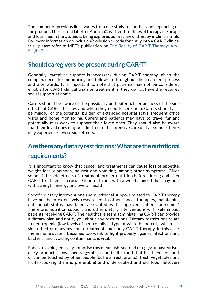The number of previous lines varies from one study to another and depending on the product. The current label for Abecma© is after three lines of therapy in Europe and four lines in the US, and is being explored as first line of therapy in clinical trials. For more information on inclusion/exclusion criteria for entry into a CAR-T clinical trial, please refer to MPE's publication on [The Reality of CAR-T Therapy: Am I](https://www.mpeurope.org/2021/03/11/the-reality-of-car-t-cell-therapy-am-i-eligible/)  [Eligible?](https://www.mpeurope.org/2021/03/11/the-reality-of-car-t-cell-therapy-am-i-eligible/)

#### **Should caregivers be present during CAR-T?**

Generally, caregiver support is necessary during CAR-T therapy, given the complex needs for monitoring and follow-up throughout the treatment process and afterwards. It is important to note that patients may not be considered eligible for CAR-T clinical trials or treatment, if they do not have the required social support at home.

Carers should be aware of the possibility and potential seriousness of the side effects of CAR-T therapy, and when they need to seek help. Carers should also be mindful of the potential burden of extended hospital stays, frequent office visits and home monitoring. Carers and patients may have to travel far and potentially miss work to support their loved ones. They should also be aware that their loved ones may be admitted to the intensive care unit as some patients may experience severe side effects.

# **Are there any dietary restrictions? What are the nutritional requirements?**

It is important to know that cancer and treatments can cause loss of appetite, weight loss, diarrhoea, nausea and vomiting, among other symptoms. Given some of the side effects of treatment, proper nutrition before, during and after CAR-T treatment is crucial. Good nutrition with a well-balanced diet may help with strength, energy and overall health.

Specific dietary interventions and nutritional support related to CAR-T therapy have not been extensively researched. In other cancer therapies, maintaining nutritional status has been associated with improved patient outcomes<sup>7</sup>. Therefore, nutrition support and other dietary interventions will likely impact patients receiving CAR-T. The healthcare team administering CAR-T can provide a dietary plan and notify you about any restrictions. Dietary restrictions relate to neutropenia (low levels of neutrophils, a type of white blood cell), which is a side effect of many myeloma treatments, not only CAR-T therapy. In this case, the immune system becomes too weak to fight properly against infections and bacteria, and avoiding contaminants is vital.

Foods to avoid generally comprise raw meat, fish, seafood or eggs; unpasteurised dairy products; unwashed vegetables and fruits; food that has been touched, or can be touched by other people (buffets, restaurants); fresh vegetables and fruits (cooking them is preferable) and undercooked and old food (leftovers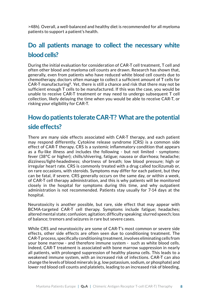>48h). Overall, a well-balanced and healthy diet is recommended for all myeloma patients to support a patient's health.

# **Do all patients manage to collect the necessary white blood cells?**

During the initial evaluation for consideration of CAR-T cell treatment, T cell and often other blood and myeloma cell counts are drawn. Research has shown that, generally, even from patients who have reduced white blood cell counts due to chemotherapy, doctors often manage to collect a sufficient amount of T cells for CAR-T manufacturing<sup>8</sup>. Yet, there is still a chance and risk that there may not be sufficient enough T cells to be manufactured. If this was the case, you would be unable to receive CAR-T treatment or may need to undergo subsequent T cell collection, likely delaying the time when you would be able to receive CAR-T, or risking your eligibility for CAR-T.

# **How do patients tolerate CAR-T? What are the potential side effects?**

There are many side effects associated with CAR-T therapy, and each patient may respond differently. Cytokine release syndrome (CRS) is a common side effect of CAR-T therapy. CRS is a systemic inflammatory condition that appears as a flu-like illness and includes the following - but not limited - symptoms: fever (38°C or higher); chills/shivering, fatigue; nausea or diarrhoea; headache; dizziness/light-headedness; shortness of breath; low blood pressure; high or irregular heart rate. CRS is commonly treated with a drug called tocilizumab or, on rare occasions, with steroids. Symptoms may differ for each patient, but they can be fatal, if severe. CRS generally occurs on the same day, or within a week, of CAR-T cell therapy administration, and this is why patients will be monitored closely in the hospital for symptoms during this time, and why outpatient administration is not recommended. Patients stay usually for 7-14 days at the hospital.

Neurotoxicity is another possible, but rare, side effect that may appear with BCMA-targeted CAR-T cell therapy. Symptoms include fatigue; headaches; altered mental state; confusion; agitation; difficulty speaking; slurred speech; loss of balance; tremors and seizures in rare but severe cases.

While CRS and neurotoxicity are some of CAR-T's most common or severe side effects, other side effects are often seen due to conditioning treatment. The CAR-T process, specifically conditioning treatment, involves eliminating cells from your bone marrow - and therefore immune system - such as white blood cells. Indeed, CAR-T treatment is associated with bone marrow suppression in nearly all patients, with prolonged suppression of healthy plasma cells. This leads to a weakened immune system, with an increased risk of infections. CAR-T can also change the levels of blood minerals (e.g. low potassium, sodium, or phosphate) and lower red blood cell counts and platelets, leading to an increased risk of bleeding,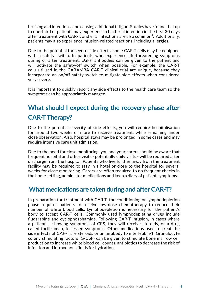bruising and infections, and causing additional fatigue. Studies have found that up to one-third of patients may experience a bacterial infection in the first 30 days after treatment with CAR-T, and viral infections are also common<sup>9</sup>. Additionally, patients may also experience infusion-related reactions, including allergies.

Due to the potential for severe side effects, some CAR-T cells may be equipped with a safety switch. In patients who experience life-threatening symptoms during or after treatment, EGFR antibodies can be given to the patient and will activate the safety/off switch when possible. For example, the CAR-T cells utilised in the CARAMBA CAR-T clinical trial are unique, because they incorporate an on/off safety switch to mitigate side effects when considered very severe.

It is important to quickly report any side effects to the health care team so the symptoms can be appropriately managed.

# **What should I expect during the recovery phase after CAR-T Therapy?**

Due to the potential severity of side effects, you will require hospitalisation for around two weeks or more to receive treatment, while remaining under close observation. Also, hospital stays may be prolonged in some cases and may require intensive care unit admission.

Due to the need for close monitoring, you and your carers should be aware that frequent hospital and office visits - potentially daily visits - will be required after discharge from the hospital. Patients who live further away from the treatment facility may be required to stay in a hotel or close to the hospital for several weeks for close monitoring. Carers are often required to do frequent checks in the home setting, administer medications and keep a diary of patient symptoms.

#### **What medications are taken during and after CAR-T?**

In preparation for treatment with CAR-T, the conditioning or lymphodepletion phase requires patients to receive low-dose chemotherapy to reduce their number of white blood cells. Lymphodepletion is necessary for the patient's body to accept CAR-T cells. Commonly used lymphodepleting drugs include fludarabine and cyclophosphamide. Following CAR-T infusion, in cases where a patient is showing symptoms of CRS, they will receive steroids, or a drug called tocilizumab, to lessen symptoms. Other medications used to treat the side effects of CAR-T are steroids or an antibody to interleukin-1. Granulocyte colony stimulating factors (G-CSF) can be given to stimulate bone marrow cell production to increase white blood cell counts, antibiotics to decrease the risk of infection and intravenous fluids for hydration.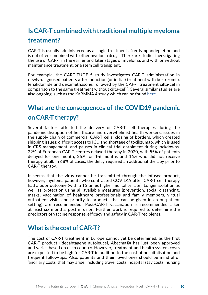# **Is CAR-T combined with traditional multiple myeloma treatment?**

CAR-T is usually administered as a single treatment after lymphodepletion and is not often combined with other myeloma drugs. There are studies investigating the use of CAR-T in the earlier and later stages of myeloma, and with or without maintenance treatment, or a stem cell transplant.

comparison to the same treatment without cilta-cel<sup>10</sup>. Several similar studies are also ongoing, such as the KaRMMA 4 study which can be found [here.](https://ascopubs.org/doi/abs/10.1200/JCO.2021.39.15_suppl.TPS8053) For example, the CARTITUDE 5 study investigates CAR-T administration in newly-diagnosed patients after induction (or initial) treatment with bortezomib, lenalidomide and dexamethasone, followed by the CAR-T treatment cilta-cel in

# **What are the consequences of the COVID19 pandemic on CAR-T therapy?**

Several factors affected the delivery of CAR-T cell therapies during the pandemic:disruption of healthcare and overwhelmed health workers; issues in the supply chain of commercial CAR-T cells; closing of borders, which created shipping issues; difficult access to ICU and shortage of tocilizumab, which is used in CRS management, and pauses in clinical trial enrolment during lockdowns. 29% of European CAR-T centres delayed therapy in 2020, with 55% of patients delayed for one month, 26% for 1-6 months and 16% who did not receive therapy at all. In 68% of cases, the delay required an additional therapy prior to CAR-T therapy.

It seems that the virus cannot be transmitted through the infused product, however, myeloma patients who contracted COVID19 after CAR-T cell therapy had a poor outcome (with a 15 times higher mortality rate). Longer isolation as well as protection using all available measures (prevention, social distancing, masks, vaccination of healthcare professionals and family members, virtual outpatient visits and priority to products that can be given in an outpatient setting) are recommended. Post-CAR-T vaccination is recommended after at least six months, post infusion. Further work is required to determine the predictors of vaccine response, efficacy and safety in CAR-T recipients.

## **What is the cost of CAR-T?**

The cost of CAR-T treatment in Europe cannot yet be determined, as the first CAR-T product (idecabtagene autoleucel, Abecma©) has just been approved and varies based on each country. However, treatment and health system costs are expected to be high for CAR-T in addition to the cost of hospitalisation and frequent follow-ups. Also, patients and their loved ones should be mindful of 'ancillary costs' that may arise, including travel costs, hospital stay costs, nursing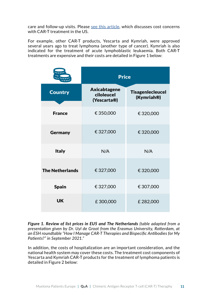care and follow-up visits. Please [see this article](https://www.fiercepharma.com/pharma/bristol-s-new-myeloma-car-t-needs-a-big-discount-to-be-cost-effective-watchdogs-say-while), which discusses cost concerns with CAR-T treatment in the US.

For example, other CAR-T products, Yescarta and Kymriah, were approved several years ago to treat lymphoma (another type of cancer). Kymriah is also indicated for the treatment of acute lymphoblastic leukaemia. Both CAR-T treatments are expensive and their costs are detailed in Figure 1 below:

|                        | <b>Price</b>                              |                                       |
|------------------------|-------------------------------------------|---------------------------------------|
| <b>Country</b>         | Axicabtagene<br>ciloleucel<br>(Yescarta®) | <b>Tisagenlecleucel</b><br>(Kymriah®) |
| <b>France</b>          | € 350,000                                 | €320,000                              |
| Germany                | € 327,000                                 | € 320,000                             |
| <b>Italy</b>           | N/A                                       | N/A                                   |
| <b>The Netherlands</b> | €327,000                                  | € 320,000                             |
| <b>Spain</b>           | € 327,000                                 | € 307,000                             |
| <b>UK</b>              | £300,000                                  | £282,000                              |

*Figure 1. Review of list prices in EU5 and The Netherlands (table adapted from a*  **Review of list prices in EU5 and The Netherlands** *presentation given by Dr. Uyl de Groot from the Erasmus University, Rotterdam, at an ESH roundtable "How I Manage CAR-T Therapies and Bispecific Antibodies for My Patients?" in September 2021."*

In addition, the costs of hospitalization are an important consideration, and the national health system may cover these costs. The treatment cost components of Yescarta and Kymriah CAR-T products for the treatment of lymphoma patients is detailed in Figure 2 below: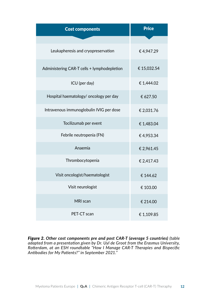| <b>Cost components</b>                      | <b>Price</b> |
|---------------------------------------------|--------------|
|                                             |              |
| Leukapheresis and cryopreservation          | €4,947.29    |
| Administering CAR-T cells + lymphodepletion | € 15,032.54  |
| ICU (per day)                               | € 1,444.02   |
| Hospital haematology/ oncology per day      | € 627.50     |
| Intravenous immunoglobulin IVIG per dose    | € 2,031.76   |
| Tocilizumab per event                       | € 1,483.04   |
| Febrile neutropenia (FN)                    | €4,953.34    |
| Anaemia                                     | € 2,961.45   |
| Thrombocytopenia                            | € 2,417.43   |
| Visit oncologist/haematologist              | € 144.62     |
| Visit neurologist                           | € 103.00     |
| MRI scan                                    | € 214.00     |
| PET-CT scan                                 | € 1,109.85   |

*Figure 2. Other cost components pre and post CAR-T (average 5 countries) (table adapted from a presentation given by Dr. Uyl de Groot from the Erasmus University, Rotterdam, at an ESH roundtable "How I Manage CAR-T Therapies and Bispecific Antibodies for My Patients?" in September 2021."*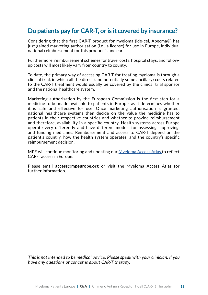## **Do patients pay for CAR-T, or is it covered by insurance?**

Considering that the first CAR-T product for myeloma (ide-cel, Abecma©) has just gained marketing authorisation (i.e., a license) for use in Europe, individual national reimbursement for this product is unclear.

Furthermore, reimbursement schemes for travel costs, hospital stays, and followup costs will most likely vary from country to county.

To date, the primary way of accessing CAR-T for treating myeloma is through a clinical trial, in which all the direct (and potentially some ancillary) costs related to the CAR-T treatment would usually be covered by the clinical trial sponsor and the national healthcare system.

Marketing authorisation by the European Commission is the first step for a medicine to be made available to patients in Europe, as it determines whether it is safe and effective for use. Once marketing authorisation is granted, national healthcare systems then decide on the value the medicine has to patients in their respective countries and whether to provide reimbursement and therefore, availability in a specific country. Health systems across Europe operate very differently and have different models for assessing, approving, and funding medicines. Reimbursement and access to CAR-T depend on the patient's country, how the health system operates, and the country's specific reimbursement decision.

MPE will continue monitoring and updating our [Myeloma Access Atlas](https://atlas.mpeurope.org/) to reflect CAR-T access in Europe.

Please email **access@mpeurope.org** or visit the Myeloma Access Atlas for further information.

*-----------------------------------------------------------------------------------------------------*

*This is not intended to be medical advice. Please speak with your clinician, if you have any questions or concerns about CAR-T therapy.*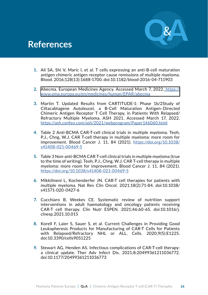

# **References**

- **1.** Ali SA, Shi V, Maric I, et al. T cells expressing an anti-B-cell maturation antigen chimeric antigen receptor cause remissions of multiple myeloma. Blood. 2016;128(13):1688-1700. doi:10.1182/blood-2016-04-711903
- **2.** [Abecma. European Medicines Agency. Accessed March 7, 2022.](https://www.ema.europa.eu/en/medicines/human/EPAR/abecma) [https://](https://www.ema.europa.eu/en/medicines/human/EPAR/abecma
) [www.ema.europa.eu/en/medicines/human/EPAR/abecma](https://www.ema.europa.eu/en/medicines/human/EPAR/abecma
)
- **3.** Martin T. Updated Results from CARTITUDE-1: Phase 1b/2Study of Ciltacabtagene Autoleucel, a B-Cell Maturation Antigen–Directed Chimeric Antigen Receptor T Cell Therapy, in Patients With Relapsed/ Refractory Multiple Myeloma. ASH 2021. Accessed March 17, 2022. <https://ash.confex.com/ash/2021/webprogram/Paper146060.html>
- **4.** Table 2 Anti-BCMA CAR-T-cell clinical trials in multiple myeloma. Teoh, P.J., Chng, W.J. CAR T-cell therapy in multiple myeloma: more room for improvement. Blood Cancer J. 11, 84 (2021). [https://doi.org/10.1038/](https://www.nature.com/articles/s41408-021-00469-5) [s41408-021-00469-5](https://www.nature.com/articles/s41408-021-00469-5)
- **5.** Table 3 Non-anti-BCMA CAR T-cell clinical trials in multiple myeloma (true to the time of writing). Teoh, P.J., Chng, W.J. CAR T-cell therapy in multiple myeloma: more room for improvement. Blood Cancer J. 11, 84 (2021). <https://doi.org/10.1038/s41408-021-00469-5>
- **6.** Mikkilineni L, Kochenderfer JN. CAR-T cell therapies for patients with multiple myeloma. Nat Rev Clin Oncol. 2021;18(2):71-84. doi:10.1038/ s41571-020-0427-6
- **7.** Cucchiaro B, Weekes CE. Systematic review of nutrition support interventions in adult haematology and oncology patients receiving CAR-T cell therapy. Clin Nutr ESPEN. 2021;46:60-65. doi:10.1016/j. clnesp.2021.10.015
- **8.** Korell F, Laier S, Sauer S, et al. Current Challenges in Providing Good Leukapheresis Products for Manufacturing of CAR-T Cells for Patients with Relapsed/Refractory NHL or ALL. Cells. 2020;9(5):E1225. doi:10.3390/cells9051225
- **9.** Stewart AG, Henden AS. Infectious complications of CAR-T-cell therapy: a clinical update. Ther Adv Infect Dis. 2021;8:20499361211036772. doi:10.1177/20499361211036773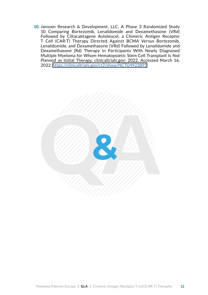**10.** Janssen Research & Development, LLC. A Phase 3 Randomized Study 10 Comparing Bortezomib, Lenalidomide and Dexamethasone (VRd) Followed by Ciltacabtagene Autoleucel, a Chimeric Antigen Receptor T Cell (CAR-T) Therapy Directed Against BCMA Versus Bortezomib, Lenalidomide, and Dexamethasone (VRd) Followed by Lenalidomide and Dexamethasone (Rd) Therapy in Participants With Newly Diagnosed Multiple Myeloma for Whom Hematopoietic Stem Cell Transplant Is Not Planned as Initial Therapy. clinicaltrials.gov; 2022. Accessed March 16, 2022. [https://clinicaltrials.gov/ct2/show/NCT04923893]( https://clinicaltrials.gov/ct2/show/NCT04923893)